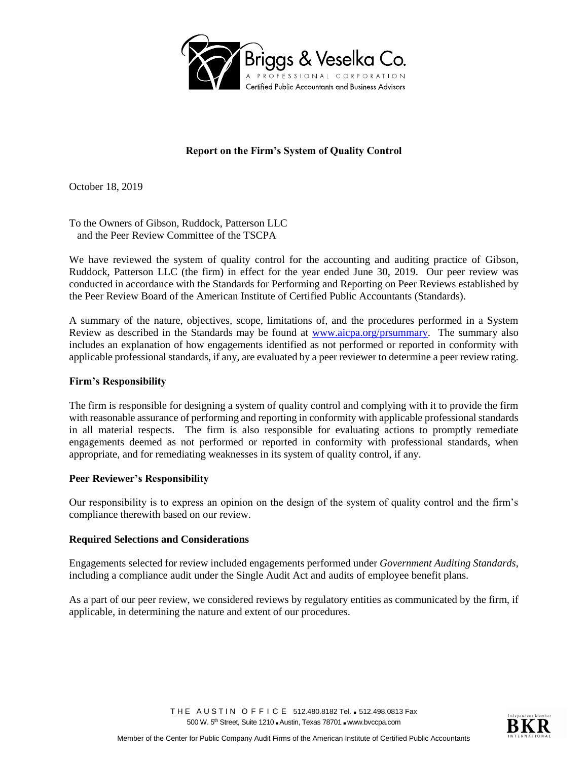

# **Report on the Firm's System of Quality Control**

October 18, 2019

To the Owners of Gibson, Ruddock, Patterson LLC and the Peer Review Committee of the TSCPA

We have reviewed the system of quality control for the accounting and auditing practice of Gibson, Ruddock, Patterson LLC (the firm) in effect for the year ended June 30, 2019. Our peer review was conducted in accordance with the Standards for Performing and Reporting on Peer Reviews established by the Peer Review Board of the American Institute of Certified Public Accountants (Standards).

A summary of the nature, objectives, scope, limitations of, and the procedures performed in a System Review as described in the Standards may be found at [www.aicpa.org/prsummary.](http://www.aicpa.org/prsummary) The summary also includes an explanation of how engagements identified as not performed or reported in conformity with applicable professional standards, if any, are evaluated by a peer reviewer to determine a peer review rating.

## **Firm's Responsibility**

The firm is responsible for designing a system of quality control and complying with it to provide the firm with reasonable assurance of performing and reporting in conformity with applicable professional standards in all material respects. The firm is also responsible for evaluating actions to promptly remediate engagements deemed as not performed or reported in conformity with professional standards, when appropriate, and for remediating weaknesses in its system of quality control, if any.

## **Peer Reviewer's Responsibility**

Our responsibility is to express an opinion on the design of the system of quality control and the firm's compliance therewith based on our review.

## **Required Selections and Considerations**

Engagements selected for review included engagements performed under *Government Auditing Standards*, including a compliance audit under the Single Audit Act and audits of employee benefit plans.

As a part of our peer review, we considered reviews by regulatory entities as communicated by the firm, if applicable, in determining the nature and extent of our procedures.